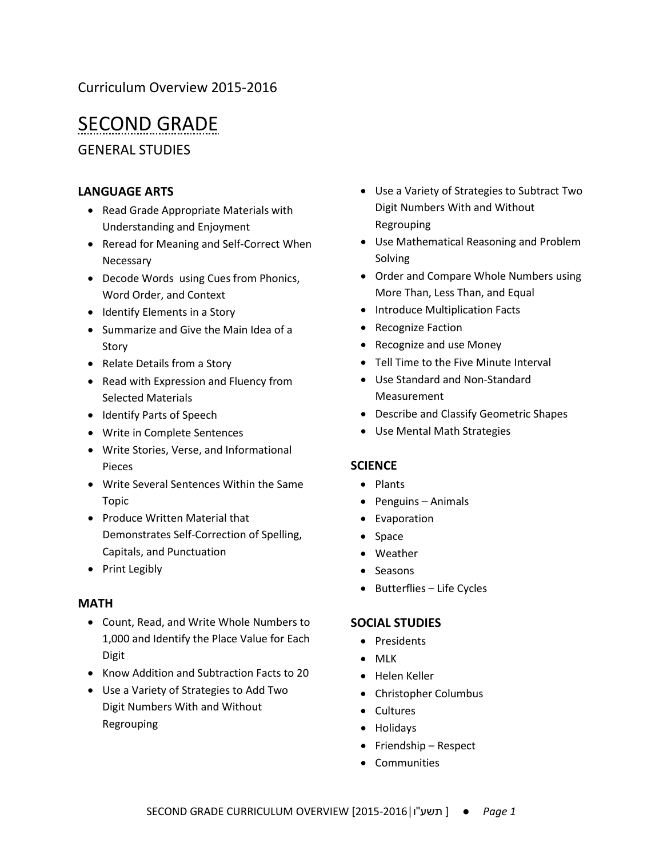## Curriculum Overview 2015-2016

# SECOND GRADE

GENERAL STUDIES

#### **LANGUAGE ARTS**

- Read Grade Appropriate Materials with Understanding and Enjoyment
- Reread for Meaning and Self-Correct When Necessary
- Decode Words using Cues from Phonics, Word Order, and Context
- Identify Elements in a Story
- Summarize and Give the Main Idea of a Story
- Relate Details from a Story
- Read with Expression and Fluency from Selected Materials
- Identify Parts of Speech
- Write in Complete Sentences
- Write Stories, Verse, and Informational Pieces
- Write Several Sentences Within the Same Topic
- Produce Written Material that Demonstrates Self-Correction of Spelling, Capitals, and Punctuation
- Print Legibly

#### **MATH**

- Count, Read, and Write Whole Numbers to 1,000 and Identify the Place Value for Each Digit
- Know Addition and Subtraction Facts to 20
- Use a Variety of Strategies to Add Two Digit Numbers With and Without Regrouping
- Use a Variety of Strategies to Subtract Two Digit Numbers With and Without Regrouping
- Use Mathematical Reasoning and Problem Solving
- Order and Compare Whole Numbers using More Than, Less Than, and Equal
- Introduce Multiplication Facts
- Recognize Faction
- Recognize and use Money
- Tell Time to the Five Minute Interval
- Use Standard and Non-Standard Measurement
- Describe and Classify Geometric Shapes
- Use Mental Math Strategies

#### **SCIENCE**

- Plants
- Penguins Animals
- Evaporation
- Space
- Weather
- Seasons
- Butterflies Life Cycles

#### **SOCIAL STUDIES**

- Presidents
- MLK
- Helen Keller
- Christopher Columbus
- Cultures
- Holidays
- Friendship Respect
- Communities